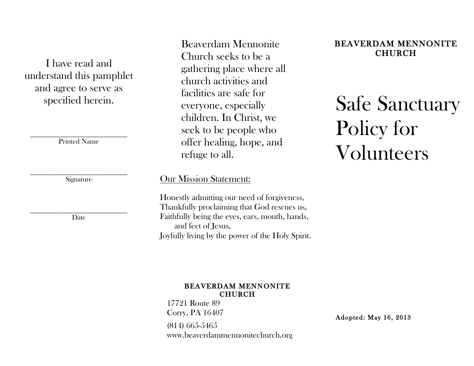I have read and understand this pamphlet and agree to serve as specified herein.

\_\_\_\_\_\_\_\_\_\_\_\_\_\_\_\_\_\_\_\_\_\_\_\_\_\_\_\_\_\_\_ Printed Name

 $\mathcal{L}_\text{max}$  , and the set of the set of the set of the set of the set of the set of the set of the set of the set of the set of the set of the set of the set of the set of the set of the set of the set of the set of the **Signature** 

\_\_\_\_\_\_\_\_\_\_\_\_\_\_\_\_\_\_\_\_\_\_\_\_\_\_\_\_\_\_\_ Date

Beaverdam Mennonite Church seeks to be a gathering place where all church activities and facilities are safe for everyone, especially children. In Christ, we seek to be people who offer healing, hope, and refuge to all.

## Our Mission Statement:

Honestly admitting our need of forgiveness, Thankfully proclaiming that God rescues us, Faithfully being the eyes, ears, mouth, hands, and feet of Jesus, Joyfully living by the power of the Holy Spirit.

#### BEAVERDAM MENNONITE CHURCH

17721 Route 89 Corry, PA 16407 (814) 665-5465 www.beaverdammennonitechurch.org

Adopted: May 16, 2013

## BEAVERDAM MENNONITE CHURCH

Safe Sanctuary Policy for Volunteers